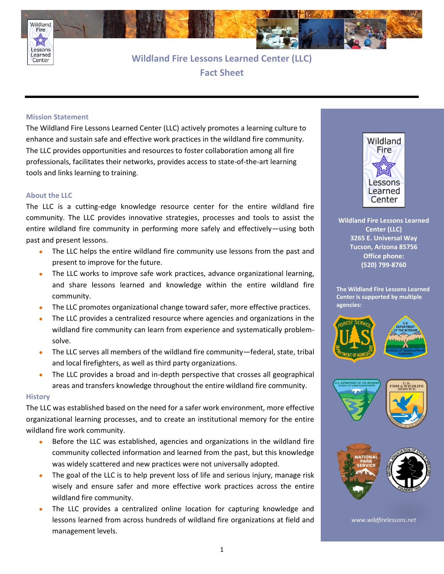

**Wildland Fire Lessons Learned Center (LLC) Fact Sheet**

## **Mission Statement**

Center

The Wildland Fire Lessons Learned Center (LLC) actively promotes a learning culture to enhance and sustain safe and effective work practices in the wildland fire community. The LLC provides opportunities and resources to foster collaboration among all fire professionals, facilitates their networks, provides access to state-of-the-art learning tools and links learning to training.

## **About the LLC**

The LLC is a cutting-edge knowledge resource center for the entire wildland fire community. The LLC provides innovative strategies, processes and tools to assist the entire wildland fire community in performing more safely and effectively—using both past and present lessons.

- The LLC helps the entire wildland fire community use lessons from the past and present to improve for the future.
- The LLC works to improve safe work practices, advance organizational learning, and share lessons learned and knowledge within the entire wildland fire community.
- The LLC promotes organizational change toward safer, more effective practices.
- The LLC provides a centralized resource where agencies and organizations in the wildland fire community can learn from experience and systematically problemsolve.
- The LLC serves all members of the wildland fire community—federal, state, tribal and local firefighters, as well as third party organizations.
- The LLC provides a broad and in-depth perspective that crosses all geographical areas and transfers knowledge throughout the entire wildland fire community.

## **History**

The LLC was established based on the need for a safer work environment, more effective organizational learning processes, and to create an institutional memory for the entire wildland fire work community.

- Before the LLC was established, agencies and organizations in the wildland fire community collected information and learned from the past, but this knowledge was widely scattered and new practices were not universally adopted.
- The goal of the LLC is to help prevent loss of life and serious injury, manage risk wisely and ensure safer and more effective work practices across the entire wildland fire community.
- The LLC provides a centralized online location for capturing knowledge and lessons learned from across hundreds of wildland fire organizations at field and management levels.



**Wildland Fire Lessons Learned Center (LLC) 3265 E. Universal Way Tucson, Arizona 85756 Office phone: (520) 799-8760**

**The Wildland Fire Lessons Learned Center is supported by multiple agencies:**







*www.wildfirelessons.net*